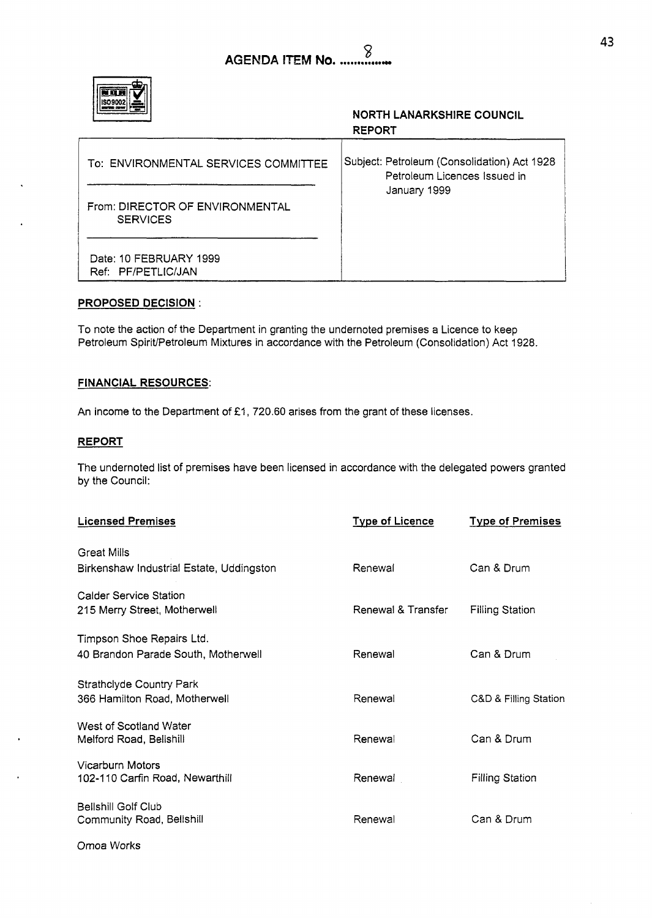|--|

## **NORTH LANARKSHIRE COUNCIL REPORT**

| To: ENVIRONMENTAL SERVICES COMMITTEE               | Subject: Petroleum (Consolidation) Act 1928<br>Petroleum Licences Issued in |
|----------------------------------------------------|-----------------------------------------------------------------------------|
| From: DIRECTOR OF ENVIRONMENTAL<br><b>SERVICES</b> | January 1999                                                                |
| Date: 10 FEBRUARY 1999<br>Ref: PF/PETLIC/JAN       |                                                                             |

## **PROPOSED DECISION**

To note the action of the Department in granting the undernoted premises a Licence to keep Petroleum SpiriUPetroleum Mixtures in accordance with the Petroleum (Consolidation) Act 1928.

## **FINANCIAL RESOURCES:**

An income to the Department of £1, 720.60 arises from the grant of these licenses.

## **REPORT**

The undernoted list of premises have been licensed in accordance with the delegated powers granted by the Council:

| <b>Licensed Premises</b>                            | <b>Type of Licence</b> | <b>Type of Premises</b> |
|-----------------------------------------------------|------------------------|-------------------------|
| <b>Great Mills</b>                                  |                        |                         |
| Birkenshaw Industrial Estate, Uddingston            | Renewal                | Can & Drum              |
| <b>Calder Service Station</b>                       |                        |                         |
| 215 Merry Street, Motherwell                        | Renewal & Transfer     | <b>Filling Station</b>  |
| Timpson Shoe Repairs Ltd.                           |                        |                         |
| 40 Brandon Parade South, Motherwell                 | Renewal                | Can & Drum              |
| <b>Strathclyde Country Park</b>                     |                        |                         |
| 366 Hamilton Road, Motherwell                       | Renewal                | C&D & Filling Station   |
| West of Scotland Water                              |                        |                         |
| Melford Road, Bellshill                             | Renewal                | Can & Drum              |
| Vicarburn Motors<br>102-110 Carfin Road, Newarthill | Renewal                | <b>Filling Station</b>  |
|                                                     |                        |                         |
| Bellshill Golf Club<br>Community Road, Bellshill    | Renewal                | Can & Drum              |
|                                                     |                        |                         |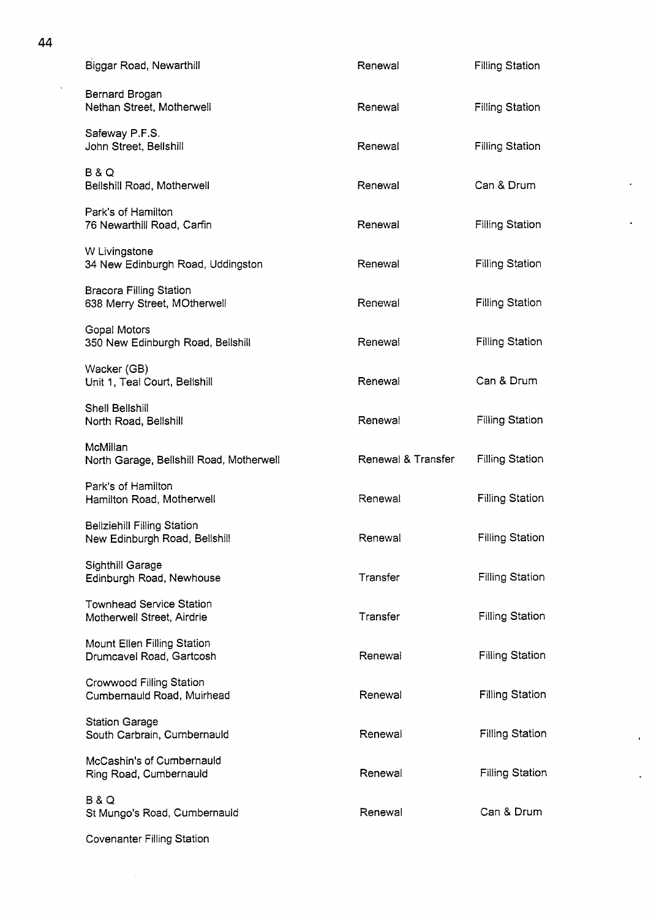| Biggar Road, Newarthill                                             | Renewal            | <b>Filling Station</b> |
|---------------------------------------------------------------------|--------------------|------------------------|
| Bernard Brogan<br>Nethan Street, Motherwell                         | Renewal            | <b>Filling Station</b> |
| Safeway P.F.S.<br>John Street, Bellshill                            | Renewal            | <b>Filling Station</b> |
| <b>B&amp;Q</b><br>Bellshill Road, Motherwell                        | Renewal            | Can & Drum             |
| Park's of Hamilton<br>76 Newarthill Road, Carfin                    | Renewal            | <b>Filling Station</b> |
| W Livingstone<br>34 New Edinburgh Road, Uddingston                  | Renewal            | <b>Filling Station</b> |
| <b>Bracora Filling Station</b><br>638 Merry Street, MOtherwell      | Renewal            | <b>Filling Station</b> |
| <b>Gopal Motors</b><br>350 New Edinburgh Road, Bellshill            | Renewal            | <b>Filling Station</b> |
| Wacker (GB)<br>Unit 1, Teal Court, Bellshill                        | Renewal            | Can & Drum             |
| <b>Shell Bellshill</b><br>North Road, Bellshill                     | Renewal            | <b>Filling Station</b> |
| McMillan<br>North Garage, Bellshill Road, Motherwell                | Renewal & Transfer | <b>Filling Station</b> |
| Park's of Hamilton<br>Hamilton Road, Motherwell                     | Renewal            | <b>Filling Station</b> |
| <b>Beliziehill Filling Station</b><br>New Edinburgh Road, Bellshill | Renewal            | Filling Station        |
| Sighthill Garage<br>Edinburgh Road, Newhouse                        | Transfer           | <b>Filling Station</b> |
| <b>Townhead Service Station</b><br>Motherwell Street, Airdrie       | Transfer           | <b>Filling Station</b> |
| <b>Mount Ellen Filling Station</b><br>Drumcavel Road, Gartcosh      | Renewal            | <b>Filling Station</b> |
| <b>Crowwood Filling Station</b><br>Cumbernauld Road, Muirhead       | Renewal            | <b>Filling Station</b> |
| <b>Station Garage</b><br>South Carbrain, Cumbernauld                | Renewal            | <b>Filling Station</b> |
| McCashin's of Cumbernauld<br>Ring Road, Cumbernauld                 | Renewal            | <b>Filling Station</b> |
| <b>B&amp;Q</b><br>St Mungo's Road, Cumbernauld                      | Renewal            | Can & Drum             |
|                                                                     |                    |                        |

k,

 $\bar{\epsilon}$ 

 $\frac{1}{\sqrt{2}}$ 

 $\sim$